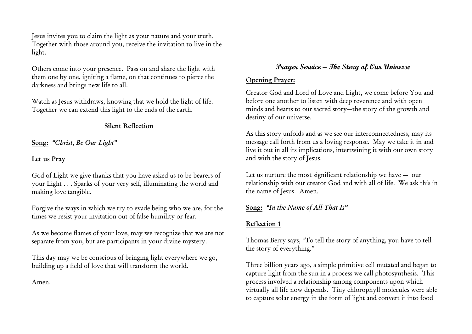Jesus invites you to claim the light as your nature and your truth. Together with those around you, receive the invitation to live in the light.

Others come into your presence. Pass on and share the light with them one by one, igniting a flame, on that continues to pierce the darkness and brings new life to all.

Watch as Jesus withdraws, knowing that we hold the light of life. Together we can extend this light to the ends of the earth.

## Silent Reflection

Song: *"Christ, Be Our Light"*

## Let us Pray

God of Light we give thanks that you have asked us to be bearers of your Light . . . Sparks of your very self, illuminating the world and making love tangible.

Forgive the ways in which we try to evade being who we are, for the times we resist your invitation out of false humility or fear.

As we become flames of your love, may we recognize that we are not separate from you, but are participants in your divine mystery.

This day may we be conscious of bringing light everywhere we go, building up a field of love that will transform the world.

Amen.

# **Prayer Service – The Story of Our Universe**

## Opening Prayer:

Creator God and Lord of Love and Light, we come before You and before one another to listen with deep reverence and with open minds and hearts to our sacred story—the story of the growth and destiny of our universe.

As this story unfolds and as we see our interconnectedness, may its message call forth from us a loving response. May we take it in and live it out in all its implications, intertwining it with our own story and with the story of Jesus.

Let us nurture the most significant relationship we have — our relationship with our creator God and with all of life. We ask this in the name of Jesus. Amen.

## Song: *"In the Name of All That Is"*

## Reflection 1

Thomas Berry says, "To tell the story of anything, you have to tell the story of everything."

Three billion years ago, a simple primitive cell mutated and began to capture light from the sun in a process we call photosynthesis. This process involved a relationship among components upon which virtually all life now depends. Tiny chlorophyll molecules were able to capture solar energy in the form of light and convert it into food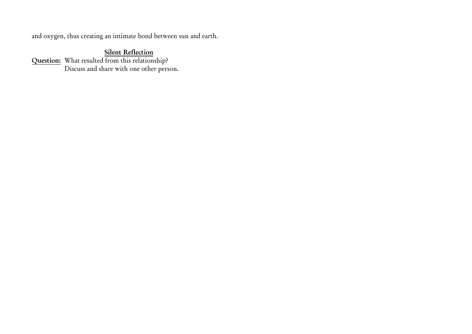and oxygen, thus creating an intimate bond between sun and earth.

## Silent Reflection

Question: Discuss and share with one other person. What resulted from this relationship?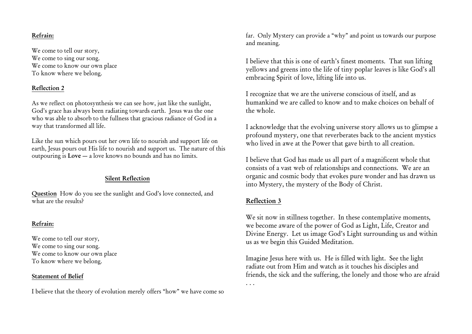#### Refrain:

We come to tell our story, We come to sing our song. We come to know our own place To know where we belong.

### Reflection 2

As we reflect on photosynthesis we can see how, just like the sunlight, God's grace has always been radiating towards earth. Jesus was the one who was able to absorb to the fullness that gracious radiance of God in a way that transformed all life.

Like the sun which pours out her own life to nourish and support life on earth, Jesus pours out His life to nourish and support us. The nature of this outpouring is Love — a love knows no bounds and has no limits.

### Silent Reflection

Question How do you see the sunlight and God's love connected, and what are the results?

### Refrain:

We come to tell our story, We come to sing our song. We come to know our own place To know where we belong.

### Statement of Belief

I believe that the theory of evolution merely offers "how" we have come so

far. Only Mystery can provide a "why" and point us towards our purpose and meaning.

I believe that this is one of earth's finest moments. That sun lifting yellows and greens into the life of tiny poplar leaves is like God's all embracing Spirit of love, lifting life into us.

I recognize that we are the universe conscious of itself, and as humankind we are called to know and to make choices on behalf of the whole.

I acknowledge that the evolving universe story allows us to glimpse a profound mystery, one that reverberates back to the ancient mystics who lived in awe at the Power that gave birth to all creation.

I believe that God has made us all part of a magnificent whole that consists of a vast web of relationships and connections. We are an organic and cosmic body that evokes pure wonder and has drawn us into Mystery, the mystery of the Body of Christ.

### Reflection 3

We sit now in stillness together. In these contemplative moments, we become aware of the power of God as Light, Life, Creator and Divine Energy. Let us image God's Light surrounding us and within us as we begin this Guided Meditation.

Imagine Jesus here with us. He is filled with light. See the light radiate out from Him and watch as it touches his disciples and friends, the sick and the suffering, the lonely and those who are afraid . . .